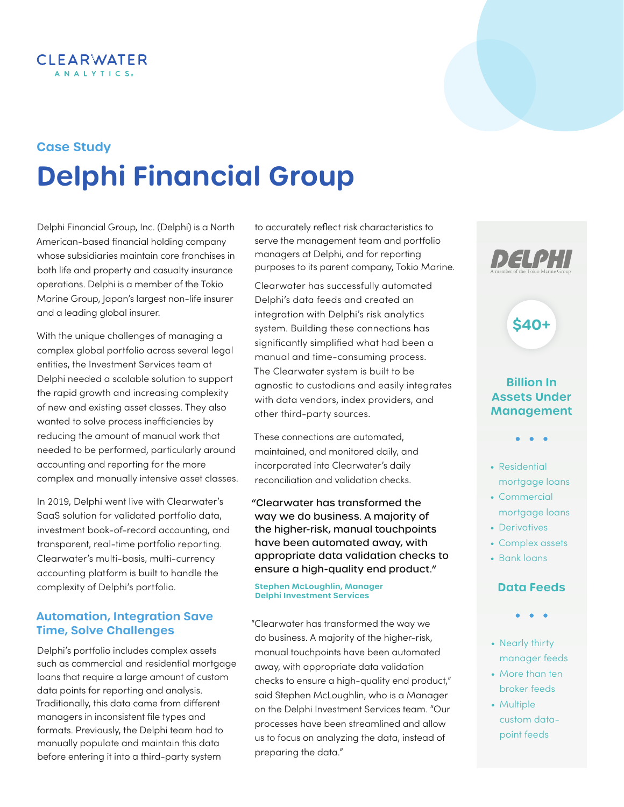# **Case Study Delphi Financial Group**

Delphi Financial Group, Inc. (Delphi) is a North American-based financial holding company whose subsidiaries maintain core franchises in both life and property and casualty insurance operations. Delphi is a member of the Tokio Marine Group, Japan's largest non-life insurer and a leading global insurer.

**CLEARWATER** ANALYTICS.

With the unique challenges of managing a complex global portfolio across several legal entities, the Investment Services team at Delphi needed a scalable solution to support the rapid growth and increasing complexity of new and existing asset classes. They also wanted to solve process inefficiencies by reducing the amount of manual work that needed to be performed, particularly around accounting and reporting for the more complex and manually intensive asset classes.

In 2019, Delphi went live with Clearwater's SaaS solution for validated portfolio data, investment book-of-record accounting, and transparent, real-time portfolio reporting. Clearwater's multi-basis, multi-currency accounting platform is built to handle the complexity of Delphi's portfolio.

# **Automation, Integration Save Time, Solve Challenges**

Delphi's portfolio includes complex assets such as commercial and residential mortgage loans that require a large amount of custom data points for reporting and analysis. Traditionally, this data came from different managers in inconsistent file types and formats. Previously, the Delphi team had to manually populate and maintain this data before entering it into a third-party system

to accurately reflect risk characteristics to serve the management team and portfolio managers at Delphi, and for reporting purposes to its parent company, Tokio Marine.

Clearwater has successfully automated Delphi's data feeds and created an integration with Delphi's risk analytics system. Building these connections has significantly simplified what had been a manual and time-consuming process. The Clearwater system is built to be agnostic to custodians and easily integrates with data vendors, index providers, and other third-party sources.

These connections are automated, maintained, and monitored daily, and incorporated into Clearwater's daily reconciliation and validation checks.

## "Clearwater has transformed the way we do business. A majority of the higher-risk, manual touchpoints have been automated away, with appropriate data validation checks to ensure a high-quality end product."

#### **Stephen McLoughlin, Manager Delphi Investment Services**

"Clearwater has transformed the way we do business. A majority of the higher-risk, manual touchpoints have been automated away, with appropriate data validation checks to ensure a high-quality end product," said Stephen McLoughlin, who is a Manager on the Delphi Investment Services team. "Our processes have been streamlined and allow us to focus on analyzing the data, instead of preparing the data."



**\$40+** 



- 
- Residential mortgage loans
- Commercial mortgage loans
- Derivatives
- Complex assets
- Bank loans

## **Data Feeds**

- 
- Nearly thirty manager feeds
- More than ten broker feeds
- Multiple custom datapoint feeds